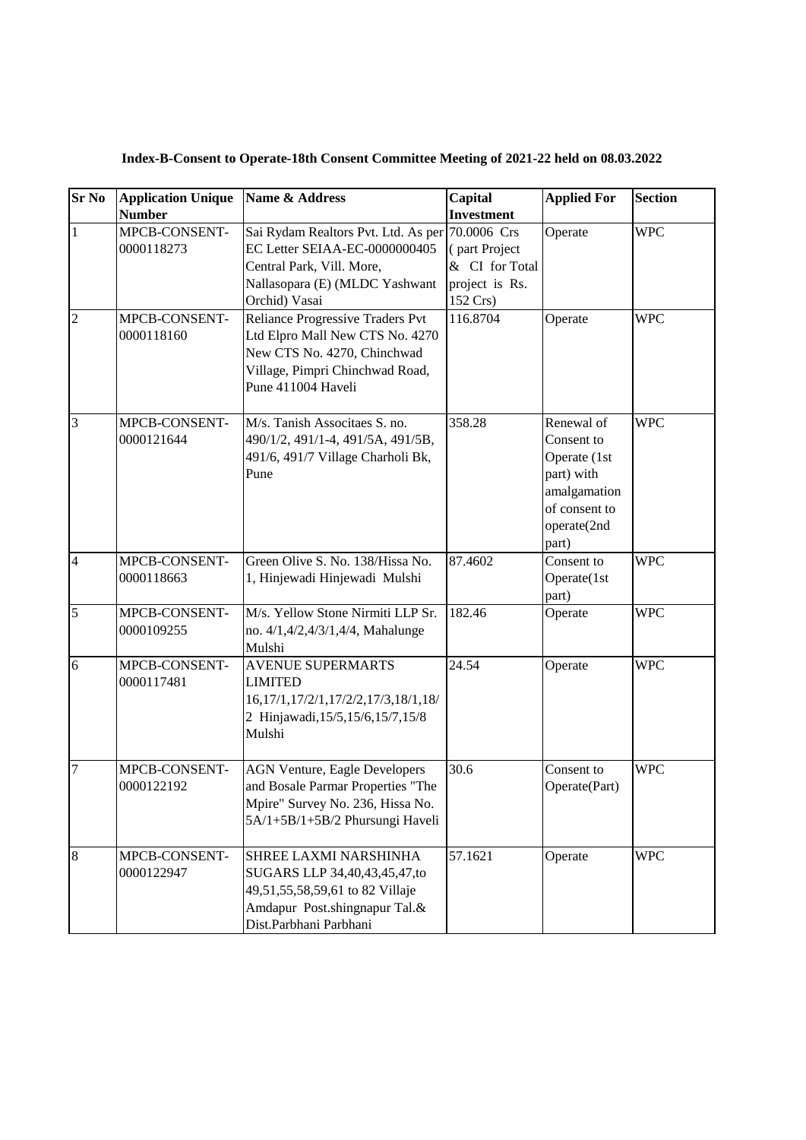| <b>Sr No</b>   | <b>Application Unique</b><br><b>Number</b> | Name & Address                                                                                                                                                     | Capital<br><b>Investment</b>                                  | <b>Applied For</b>                                                                                              | <b>Section</b> |
|----------------|--------------------------------------------|--------------------------------------------------------------------------------------------------------------------------------------------------------------------|---------------------------------------------------------------|-----------------------------------------------------------------------------------------------------------------|----------------|
| $\mathbf{1}$   | MPCB-CONSENT-<br>0000118273                | Sai Rydam Realtors Pvt. Ltd. As per 70.0006 Crs<br>EC Letter SEIAA-EC-0000000405<br>Central Park, Vill. More,<br>Nallasopara (E) (MLDC Yashwant<br>Orchid) Vasai   | (part Project<br>& CI for Total<br>project is Rs.<br>152 Crs) | Operate                                                                                                         | <b>WPC</b>     |
| $\overline{2}$ | MPCB-CONSENT-<br>0000118160                | <b>Reliance Progressive Traders Pvt</b><br>Ltd Elpro Mall New CTS No. 4270<br>New CTS No. 4270, Chinchwad<br>Village, Pimpri Chinchwad Road,<br>Pune 411004 Haveli | 116.8704                                                      | Operate                                                                                                         | <b>WPC</b>     |
| $\overline{3}$ | MPCB-CONSENT-<br>0000121644                | M/s. Tanish Associtaes S. no.<br>490/1/2, 491/1-4, 491/5A, 491/5B,<br>491/6, 491/7 Village Charholi Bk,<br>Pune                                                    | 358.28                                                        | Renewal of<br>Consent to<br>Operate (1st<br>part) with<br>amalgamation<br>of consent to<br>operate(2nd<br>part) | <b>WPC</b>     |
| $\overline{4}$ | MPCB-CONSENT-<br>0000118663                | Green Olive S. No. 138/Hissa No.<br>1, Hinjewadi Hinjewadi Mulshi                                                                                                  | 87.4602                                                       | Consent to<br>Operate(1st<br>part)                                                                              | <b>WPC</b>     |
| 5              | MPCB-CONSENT-<br>0000109255                | M/s. Yellow Stone Nirmiti LLP Sr.<br>no. 4/1,4/2,4/3/1,4/4, Mahalunge<br>Mulshi                                                                                    | 182.46                                                        | Operate                                                                                                         | <b>WPC</b>     |
| 6              | MPCB-CONSENT-<br>0000117481                | <b>AVENUE SUPERMARTS</b><br><b>LIMITED</b><br>16, 17/1, 17/2/1, 17/2/2, 17/3, 18/1, 18/<br>2 Hinjawadi, 15/5, 15/6, 15/7, 15/8<br>Mulshi                           | 24.54                                                         | Operate                                                                                                         | <b>WPC</b>     |
| $\overline{7}$ | MPCB-CONSENT-<br>0000122192                | <b>AGN Venture, Eagle Developers</b><br>and Bosale Parmar Properties "The<br>Mpire" Survey No. 236, Hissa No.<br>5A/1+5B/1+5B/2 Phursungi Haveli                   | 30.6                                                          | Consent to<br>Operate(Part)                                                                                     | <b>WPC</b>     |
| 8              | MPCB-CONSENT-<br>0000122947                | SHREE LAXMI NARSHINHA<br>SUGARS LLP 34,40,43,45,47,to<br>49,51,55,58,59,61 to 82 Villaje<br>Amdapur Post.shingnapur Tal.&<br>Dist.Parbhani Parbhani                | 57.1621                                                       | Operate                                                                                                         | <b>WPC</b>     |

**Index-B-Consent to Operate-18th Consent Committee Meeting of 2021-22 held on 08.03.2022**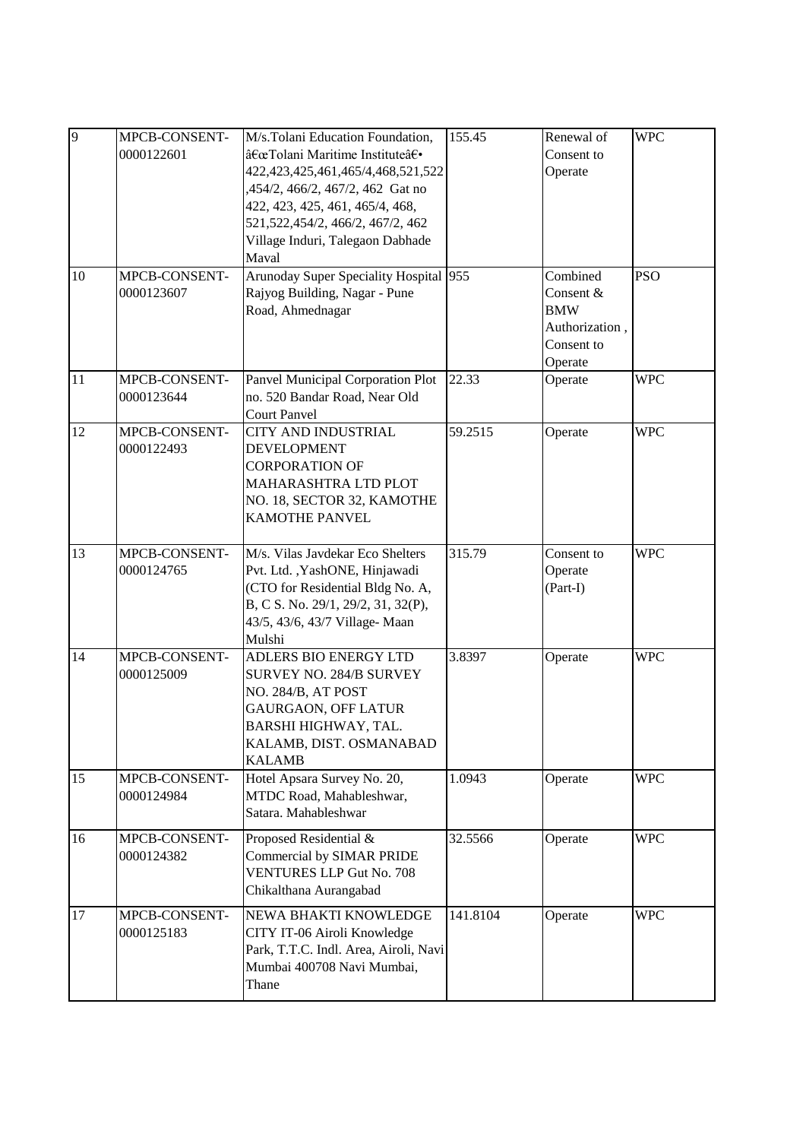| 9<br>10 | MPCB-CONSENT-<br>0000122601<br>MPCB-CONSENT-<br>0000123607 | M/s.Tolani Education Foundation,<br>"Tolani Maritime Institute†·<br>422, 423, 425, 461, 465/4, 468, 521, 522<br>,454/2, 466/2, 467/2, 462 Gat no<br>422, 423, 425, 461, 465/4, 468,<br>521, 522, 454/2, 466/2, 467/2, 462<br>Village Induri, Talegaon Dabhade<br>Maval<br>Arunoday Super Speciality Hospital 955<br>Rajyog Building, Nagar - Pune | 155.45   | Renewal of<br>Consent to<br>Operate<br>Combined<br>Consent & | <b>WPC</b><br><b>PSO</b> |
|---------|------------------------------------------------------------|---------------------------------------------------------------------------------------------------------------------------------------------------------------------------------------------------------------------------------------------------------------------------------------------------------------------------------------------------|----------|--------------------------------------------------------------|--------------------------|
|         |                                                            | Road, Ahmednagar                                                                                                                                                                                                                                                                                                                                  |          | <b>BMW</b><br>Authorization,<br>Consent to<br>Operate        |                          |
| 11      | MPCB-CONSENT-<br>0000123644                                | Panvel Municipal Corporation Plot<br>no. 520 Bandar Road, Near Old<br><b>Court Panvel</b>                                                                                                                                                                                                                                                         | 22.33    | Operate                                                      | <b>WPC</b>               |
| 12      | MPCB-CONSENT-<br>0000122493                                | <b>CITY AND INDUSTRIAL</b><br><b>DEVELOPMENT</b><br><b>CORPORATION OF</b><br>MAHARASHTRA LTD PLOT<br>NO. 18, SECTOR 32, KAMOTHE<br><b>KAMOTHE PANVEL</b>                                                                                                                                                                                          | 59.2515  | Operate                                                      | <b>WPC</b>               |
| 13      | MPCB-CONSENT-<br>0000124765                                | M/s. Vilas Javdekar Eco Shelters<br>Pvt. Ltd., YashONE, Hinjawadi<br>(CTO for Residential Bldg No. A,<br>B, C S. No. 29/1, 29/2, 31, 32(P),<br>43/5, 43/6, 43/7 Village-Maan<br>Mulshi                                                                                                                                                            | 315.79   | Consent to<br>Operate<br>(Part-I)                            | <b>WPC</b>               |
| 14      | MPCB-CONSENT-<br>0000125009                                | ADLERS BIO ENERGY LTD<br><b>SURVEY NO. 284/B SURVEY</b><br>NO. 284/B, AT POST<br><b>GAURGAON, OFF LATUR</b><br>BARSHI HIGHWAY, TAL.<br>KALAMB, DIST. OSMANABAD<br><b>KALAMB</b>                                                                                                                                                                   | 3.8397   | Operate                                                      | <b>WPC</b>               |
| 15      | MPCB-CONSENT-<br>0000124984                                | Hotel Apsara Survey No. 20,<br>MTDC Road, Mahableshwar,<br>Satara. Mahableshwar                                                                                                                                                                                                                                                                   | 1.0943   | Operate                                                      | <b>WPC</b>               |
| 16      | MPCB-CONSENT-<br>0000124382                                | Proposed Residential &<br>Commercial by SIMAR PRIDE<br><b>VENTURES LLP Gut No. 708</b><br>Chikalthana Aurangabad                                                                                                                                                                                                                                  | 32.5566  | Operate                                                      | <b>WPC</b>               |
| 17      | MPCB-CONSENT-<br>0000125183                                | NEWA BHAKTI KNOWLEDGE<br>CITY IT-06 Airoli Knowledge<br>Park, T.T.C. Indl. Area, Airoli, Navi<br>Mumbai 400708 Navi Mumbai,<br>Thane                                                                                                                                                                                                              | 141.8104 | Operate                                                      | <b>WPC</b>               |